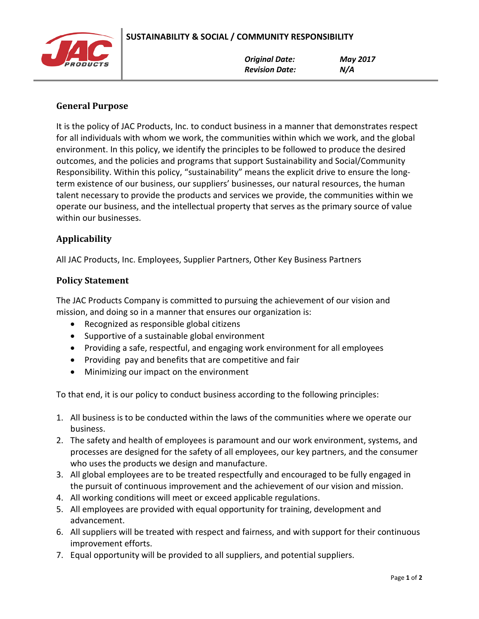

## **General Purpose**

It is the policy of JAC Products, Inc. to conduct business in a manner that demonstrates respect for all individuals with whom we work, the communities within which we work, and the global environment. In this policy, we identify the principles to be followed to produce the desired outcomes, and the policies and programs that support Sustainability and Social/Community Responsibility. Within this policy, "sustainability" means the explicit drive to ensure the longterm existence of our business, our suppliers' businesses, our natural resources, the human talent necessary to provide the products and services we provide, the communities within we operate our business, and the intellectual property that serves as the primary source of value within our businesses.

## **Applicability**

All JAC Products, Inc. Employees, Supplier Partners, Other Key Business Partners

## **Policy Statement**

The JAC Products Company is committed to pursuing the achievement of our vision and mission, and doing so in a manner that ensures our organization is:

- Recognized as responsible global citizens
- Supportive of a sustainable global environment
- Providing a safe, respectful, and engaging work environment for all employees
- Providing pay and benefits that are competitive and fair
- Minimizing our impact on the environment

To that end, it is our policy to conduct business according to the following principles:

- 1. All business is to be conducted within the laws of the communities where we operate our business.
- 2. The safety and health of employees is paramount and our work environment, systems, and processes are designed for the safety of all employees, our key partners, and the consumer who uses the products we design and manufacture.
- 3. All global employees are to be treated respectfully and encouraged to be fully engaged in the pursuit of continuous improvement and the achievement of our vision and mission.
- 4. All working conditions will meet or exceed applicable regulations.
- 5. All employees are provided with equal opportunity for training, development and advancement.
- 6. All suppliers will be treated with respect and fairness, and with support for their continuous improvement efforts.
- 7. Equal opportunity will be provided to all suppliers, and potential suppliers.